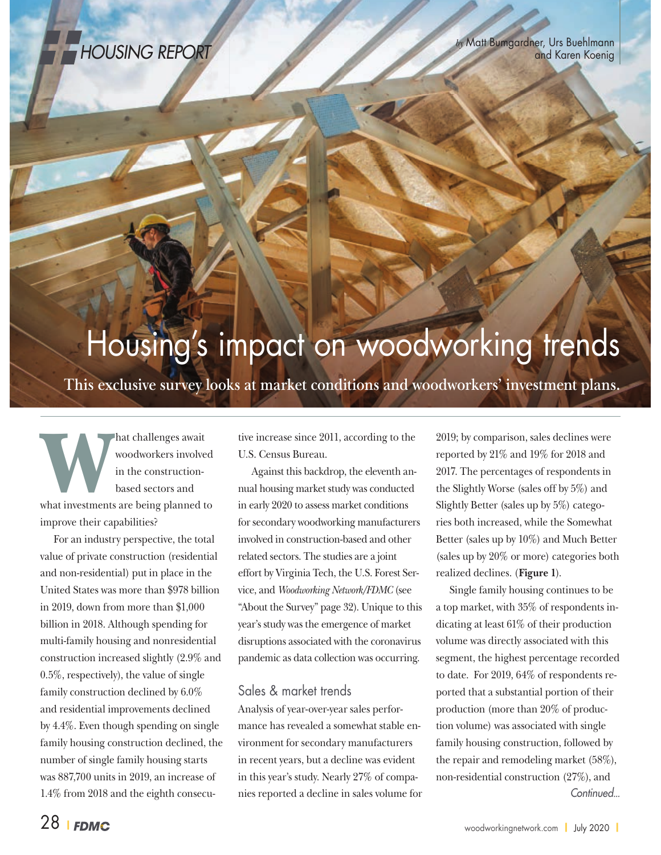

## Housing's impact on woodworking trends

**This exclusive survey looks at market conditions and woodworkers' investment plans.**

hat challenges await<br>woodworkers involve<br>in the construction-<br>based sectors and woodworkers involved in the constructionbased sectors and what investments are being planned to improve their capabilities?

For an industry perspective, the total value of private construction (residential and non-residential) put in place in the United States was more than \$978 billion in 2019, down from more than \$1,000 billion in 2018. Although spending for multi-family housing and nonresidential construction increased slightly (2.9% and 0.5%, respectively), the value of single family construction declined by 6.0% and residential improvements declined by 4.4%. Even though spending on single family housing construction declined, the number of single family housing starts was 887,700 units in 2019, an increase of 1.4% from 2018 and the eighth consecutive increase since 2011, according to the U.S. Census Bureau.

Against this backdrop, the eleventh annual housing market study was conducted in early 2020 to assess market conditions for secondary woodworking manufacturers involved in construction-based and other related sectors. The studies are a joint effort by Virginia Tech, the U.S. Forest Service, and *Woodworking Network/FDMC* (see "About the Survey" page 32). Unique to this year's study was the emergence of market disruptions associated with the coronavirus pandemic as data collection was occurring.

## Sales & market trends

Analysis of year-over-year sales performance has revealed a somewhat stable environment for secondary manufacturers in recent years, but a decline was evident in this year's study. Nearly 27% of companies reported a decline in sales volume for 2019; by comparison, sales declines were reported by 21% and 19% for 2018 and 2017. The percentages of respondents in the Slightly Worse (sales off by 5%) and Slightly Better (sales up by 5%) categories both increased, while the Somewhat Better (sales up by 10%) and Much Better (sales up by 20% or more) categories both realized declines. (**Figure 1**).

Single family housing continues to be a top market, with 35% of respondents indicating at least 61% of their production volume was directly associated with this segment, the highest percentage recorded to date. For 2019, 64% of respondents reported that a substantial portion of their production (more than 20% of production volume) was associated with single family housing construction, followed by the repair and remodeling market (58%), non-residential construction (27%), and Continued...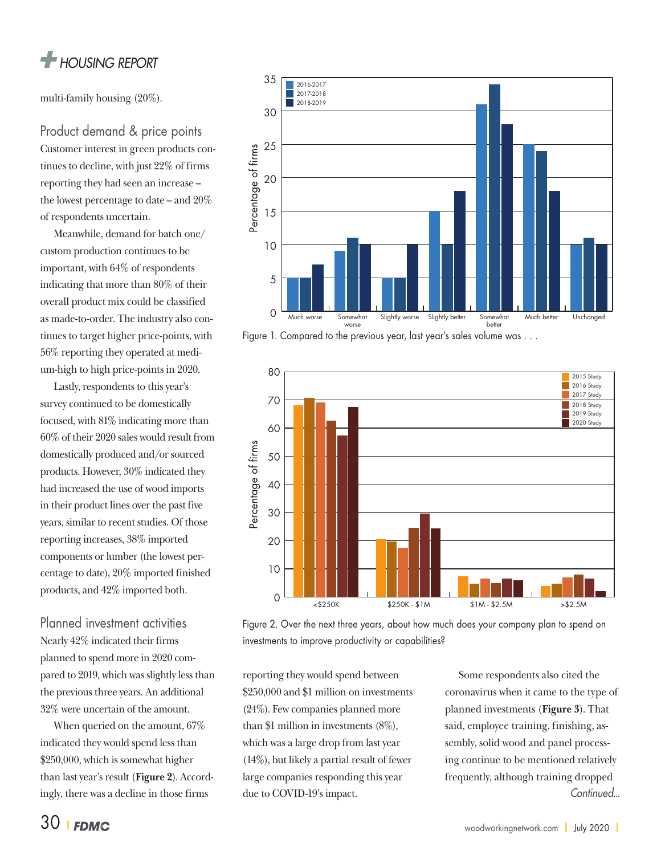

multi-family housing (20%).

Product demand & price points Customer interest in green products continues to decline, with just 22% of firms reporting they had seen an increase **–** the lowest percentage to date **–** and 20% of respondents uncertain.

Meanwhile, demand for batch one/ custom production continues to be important, with 64% of respondents indicating that more than 80% of their overall product mix could be classified as made-to-order. The industry also continues to target higher price-points, with 56% reporting they operated at medium-high to high price-points in 2020.

Lastly, respondents to this year's survey continued to be domestically focused, with 81% indicating more than 60% of their 2020 sales would result from domestically produced and/or sourced products. However, 30% indicated they had increased the use of wood imports in their product lines over the past five years, similar to recent studies. Of those reporting increases, 38% imported components or lumber (the lowest percentage to date), 20% imported finished products, and 42% imported both.

Planned investment activities Nearly 42% indicated their firms planned to spend more in 2020 compared to 2019, which was slightly less than the previous three years. An additional 32% were uncertain of the amount.

When queried on the amount, 67% indicated they would spend less than \$250,000, which is somewhat higher than last year's result (**Figure 2**). Accordingly, there was a decline in those firms



Figure 1. Compared to the previous year, last year's sales volume was . . .



Figure 2. Over the next three years, about how much does your company plan to spend on investments to improve productivity or capabilities?

reporting they would spend between \$250,000 and \$1 million on investments (24%). Few companies planned more than \$1 million in investments (8%), which was a large drop from last year (14%), but likely a partial result of fewer large companies responding this year due to COVID-19's impact.

Some respondents also cited the coronavirus when it came to the type of planned investments (**Figure 3**). That said, employee training, finishing, assembly, solid wood and panel processing continue to be mentioned relatively frequently, although training dropped Continued...